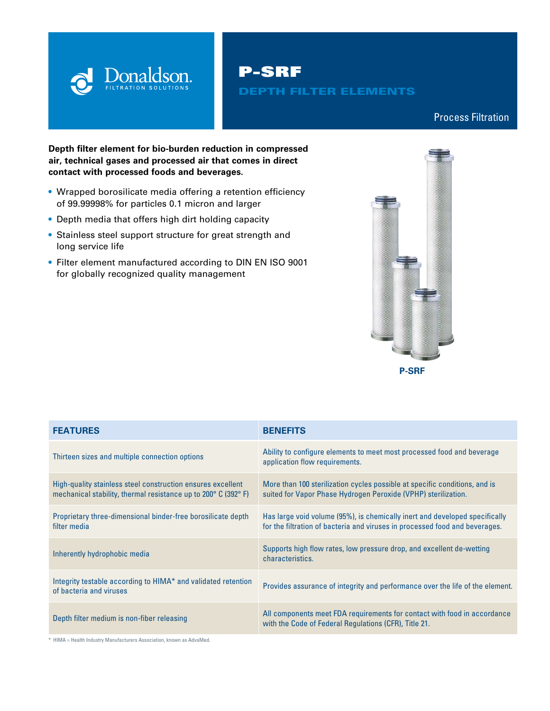

P-SRF

## DEPTH FILTER ELEMENTS

## Process Filtration

## **Depth filter element for bio-burden reduction in compressed air, technical gases and processed air that comes in direct contact with processed foods and beverages.**

- **•** Wrapped borosilicate media offering a retention efficiency of 99.99998% for particles 0.1 micron and larger
- **•** Depth media that offers high dirt holding capacity
- **•** Stainless steel support structure for great strength and long service life
- **•** Filter element manufactured according to DIN EN ISO 9001 for globally recognized quality management



| <b>FEATURES</b>                                                                                                                                  | <b>BENEFITS</b>                                                                                                                                            |
|--------------------------------------------------------------------------------------------------------------------------------------------------|------------------------------------------------------------------------------------------------------------------------------------------------------------|
| Thirteen sizes and multiple connection options                                                                                                   | Ability to configure elements to meet most processed food and beverage<br>application flow requirements.                                                   |
| High-quality stainless steel construction ensures excellent<br>mechanical stability, thermal resistance up to $200^{\circ}$ C (392 $^{\circ}$ F) | More than 100 sterilization cycles possible at specific conditions, and is<br>suited for Vapor Phase Hydrogen Peroxide (VPHP) sterilization.               |
| Proprietary three-dimensional binder-free borosilicate depth<br>filter media                                                                     | Has large void volume (95%), is chemically inert and developed specifically<br>for the filtration of bacteria and viruses in processed food and beverages. |
| Inherently hydrophobic media                                                                                                                     | Supports high flow rates, low pressure drop, and excellent de-wetting<br>characteristics.                                                                  |
| Integrity testable according to HIMA* and validated retention<br>of bacteria and viruses                                                         | Provides assurance of integrity and performance over the life of the element.                                                                              |
| Depth filter medium is non-fiber releasing                                                                                                       | All components meet FDA requirements for contact with food in accordance<br>with the Code of Federal Regulations (CFR), Title 21.                          |

\* HIMA = Health Industry Manufacturers Association, known as AdvaMed.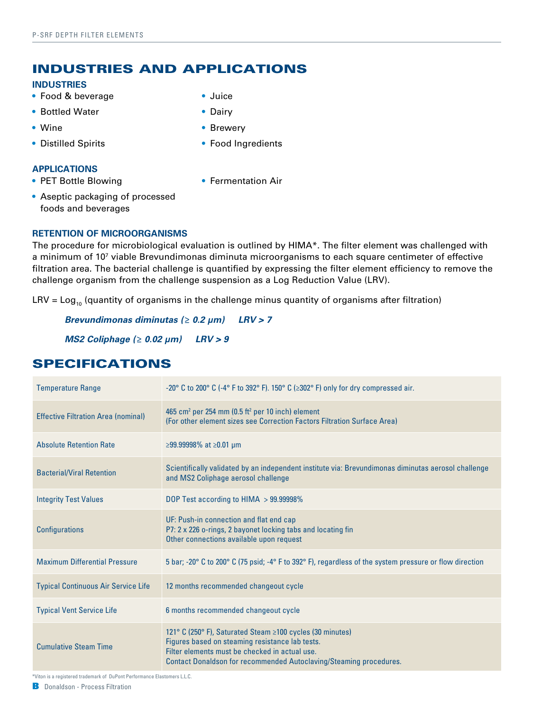## INDUSTRIES AND APPLICATIONS

### **INDUSTRIES**

- **•** Food & beverage
- **•** Bottled Water
- **•** Wine
- **•** Distilled Spirits

## **APPLICATIONS**

**•** PET Bottle Blowing

**•** Brewery

**•** Juice **•** Dairy

- **•** Food Ingredients
- **•** Fermentation Air
- **•** Aseptic packaging of processed foods and beverages

## **RETENTION OF MICROORGANISMS**

The procedure for microbiological evaluation is outlined by HIMA\*. The filter element was challenged with a minimum of 107 viable Brevundimonas diminuta microorganisms to each square centimeter of effective filtration area. The bacterial challenge is quantified by expressing the filter element efficiency to remove the challenge organism from the challenge suspension as a Log Reduction Value (LRV).

LRV =  $Log_{10}$  (quantity of organisms in the challenge minus quantity of organisms after filtration)

*Brevundimonas diminutas (≥ 0.2 μm) LRV > 7*

*MS2 Coliphage (≥ 0.02 μm) LRV > 9*

| <b>Temperature Range</b>                   | -20° C to 200° C (-4° F to 392° F). 150° C ( $\geq 302$ ° F) only for dry compressed air.                                                                                                                                                   |
|--------------------------------------------|---------------------------------------------------------------------------------------------------------------------------------------------------------------------------------------------------------------------------------------------|
| <b>Effective Filtration Area (nominal)</b> | 465 cm <sup>2</sup> per 254 mm (0.5 ft <sup>2</sup> per 10 inch) element<br>(For other element sizes see Correction Factors Filtration Surface Area)                                                                                        |
| <b>Absolute Retention Rate</b>             | $≥99.99998\%$ at $≥0.01$ µm                                                                                                                                                                                                                 |
| <b>Bacterial/Viral Retention</b>           | Scientifically validated by an independent institute via: Brevundimonas diminutas aerosol challenge<br>and MS2 Coliphage aerosol challenge                                                                                                  |
| <b>Integrity Test Values</b>               | DOP Test according to HIMA > 99.99998%                                                                                                                                                                                                      |
| <b>Configurations</b>                      | UF: Push-in connection and flat end cap<br>P7: 2 x 226 o-rings, 2 bayonet locking tabs and locating fin<br>Other connections available upon request                                                                                         |
| <b>Maximum Differential Pressure</b>       | 5 bar; -20° C to 200° C (75 psid; -4° F to 392° F), regardless of the system pressure or flow direction                                                                                                                                     |
| <b>Typical Continuous Air Service Life</b> | 12 months recommended changeout cycle                                                                                                                                                                                                       |
| <b>Typical Vent Service Life</b>           | 6 months recommended changeout cycle                                                                                                                                                                                                        |
| <b>Cumulative Steam Time</b>               | 121° C (250° F), Saturated Steam ≥100 cycles (30 minutes)<br>Figures based on steaming resistance lab tests.<br>Filter elements must be checked in actual use.<br><b>Contact Donaldson for recommended Autoclaving/Steaming procedures.</b> |

# SPECIFICATIONS

\*Viton is a registered trademark of DuPont Performance Elastomers L.L.C.

B Donaldson - Process Filtration donaldson and a state of the state of the state of the state of the state of the state of the state of the state of the state of the state of the state of the state of the state of the stat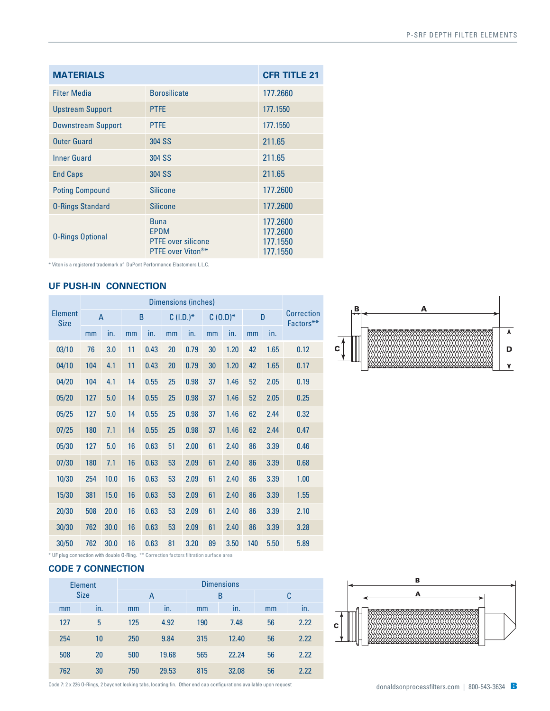| <b>MATERIALS</b>          | <b>CFR TITLE 21</b>                                                                      |                                              |
|---------------------------|------------------------------------------------------------------------------------------|----------------------------------------------|
| <b>Filter Media</b>       | <b>Borosilicate</b>                                                                      | 177.2660                                     |
| <b>Upstream Support</b>   | <b>PTFE</b>                                                                              | 177.1550                                     |
| <b>Downstream Support</b> | <b>PTFE</b>                                                                              | 177.1550                                     |
| <b>Outer Guard</b>        | 304 SS                                                                                   | 211.65                                       |
| Inner Guard               | 304 SS                                                                                   | 211.65                                       |
| <b>End Caps</b>           | 304 SS                                                                                   | 211.65                                       |
| <b>Poting Compound</b>    | <b>Silicone</b>                                                                          | 177.2600                                     |
| <b>0-Rings Standard</b>   | <b>Silicone</b>                                                                          | 177.2600                                     |
| <b>O-Rings Optional</b>   | <b>Buna</b><br><b>EPDM</b><br><b>PTFE</b> over silicone<br>PTFE over Viton <sup>®*</sup> | 177.2600<br>177.2600<br>177.1550<br>177.1550 |

\* Viton is a registered trademark of DuPont Performance Elastomers L.L.C.

## **UF PUSH-IN CONNECTION**

|                               | Dimensions (inches) |      |    |      |              |      |           |      |     |      |                                |
|-------------------------------|---------------------|------|----|------|--------------|------|-----------|------|-----|------|--------------------------------|
| <b>Element</b><br><b>Size</b> | $\overline{A}$      |      | B  |      | $C (I.D.)^*$ |      | $C(0.D)*$ |      | D   |      | <b>Correction</b><br>Factors** |
|                               | mm                  | in.  | mm | in.  | mm           | in.  | mm        | in.  | mm  | in.  |                                |
| 03/10                         | 76                  | 3.0  | 11 | 0.43 | 20           | 0.79 | 30        | 1.20 | 42  | 1.65 | 0.12                           |
| 04/10                         | 104                 | 4.1  | 11 | 0.43 | 20           | 0.79 | 30        | 1.20 | 42  | 1.65 | 0.17                           |
| 04/20                         | 104                 | 4.1  | 14 | 0.55 | 25           | 0.98 | 37        | 1.46 | 52  | 2.05 | 0.19                           |
| 05/20                         | 127                 | 5.0  | 14 | 0.55 | 25           | 0.98 | 37        | 1.46 | 52  | 2.05 | 0.25                           |
| 05/25                         | 127                 | 5.0  | 14 | 0.55 | 25           | 0.98 | 37        | 1.46 | 62  | 2.44 | 0.32                           |
| 07/25                         | 180                 | 7.1  | 14 | 0.55 | 25           | 0.98 | 37        | 1.46 | 62  | 2.44 | 0.47                           |
| 05/30                         | 127                 | 5.0  | 16 | 0.63 | 51           | 2.00 | 61        | 2.40 | 86  | 3.39 | 0.46                           |
| 07/30                         | 180                 | 7.1  | 16 | 0.63 | 53           | 2.09 | 61        | 2.40 | 86  | 3.39 | 0.68                           |
| 10/30                         | 254                 | 10.0 | 16 | 0.63 | 53           | 2.09 | 61        | 2.40 | 86  | 3.39 | 1.00                           |
| 15/30                         | 381                 | 15.0 | 16 | 0.63 | 53           | 2.09 | 61        | 2.40 | 86  | 3.39 | 1.55                           |
| 20/30                         | 508                 | 20.0 | 16 | 0.63 | 53           | 2.09 | 61        | 2.40 | 86  | 3.39 | 2.10                           |
| 30/30                         | 762                 | 30.0 | 16 | 0.63 | 53           | 2.09 | 61        | 2.40 | 86  | 3.39 | 3.28                           |
| 30/50                         | 762                 | 30.0 | 16 | 0.63 | 81           | 3.20 | 89        | 3.50 | 140 | 5.50 | 5.89                           |



\* UF plug connection with double O-Ring. \*\* Correction factors filtration surface area

## **CODE 7 CONNECTION**

| <b>Element</b><br><b>Size</b> |     | <b>Dimensions</b> |     |       |     |       |    |      |
|-------------------------------|-----|-------------------|-----|-------|-----|-------|----|------|
|                               |     | Α                 |     | B     |     | C     |    |      |
|                               | mm  | $\cdot$<br>In.    | mm  | in.   | mm  | in.   | mm | in.  |
|                               | 127 | 5                 | 125 | 4.92  | 190 | 7.48  | 56 | 2.22 |
|                               | 254 | 10                | 250 | 9.84  | 315 | 12.40 | 56 | 2.22 |
|                               | 508 | 20                | 500 | 19.68 | 565 | 22.24 | 56 | 2.22 |
|                               | 762 | 30                | 750 | 29.53 | 815 | 32.08 | 56 | 2.22 |



Code 7: 2 x 226 O-Rings, 2 bayonet locking tabs, locating fin. Other end cap configurations available upon request  $d$  and  $d$  and  $d$  and  $d$  and  $d$  and  $d$  and  $d$  and  $d$  and  $d$  and  $d$  and  $d$  and  $d$  and  $d$  and  $d$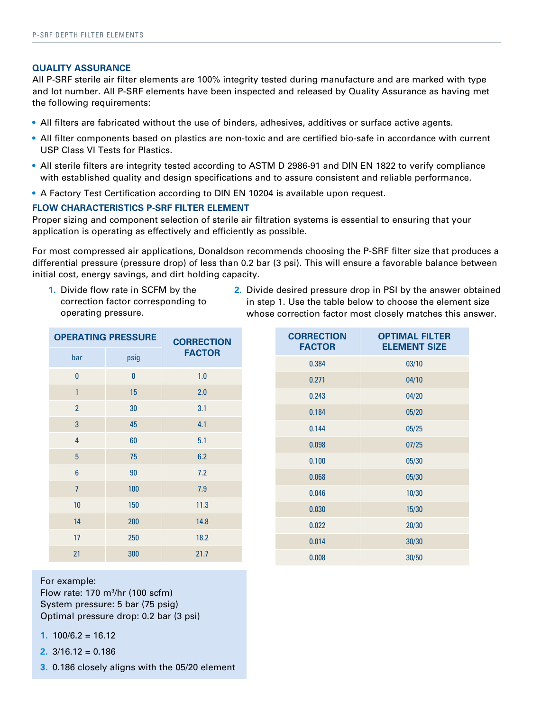#### **QUALITY ASSURANCE**

All P-SRF sterile air filter elements are 100% integrity tested during manufacture and are marked with type and lot number. All P-SRF elements have been inspected and released by Quality Assurance as having met the following requirements:

- All filters are fabricated without the use of binders, adhesives, additives or surface active agents.
- **•** All filter components based on plastics are non-toxic and are certified bio-safe in accordance with current USP Class VI Tests for Plastics.
- **•** All sterile filters are integrity tested according to ASTM D 2986-91 and DIN EN 1822 to verify compliance with established quality and design specifications and to assure consistent and reliable performance.
- **•** A Factory Test Certification according to DIN EN 10204 is available upon request.

### **FLOW CHARACTERISTICS P-SRF FILTER ELEMENT**

Proper sizing and component selection of sterile air filtration systems is essential to ensuring that your application is operating as effectively and efficiently as possible.

For most compressed air applications, Donaldson recommends choosing the P-SRF filter size that produces a differential pressure (pressure drop) of less than 0.2 bar (3 psi). This will ensure a favorable balance between initial cost, energy savings, and dirt holding capacity.

- **1.** Divide flow rate in SCFM by the correction factor corresponding to operating pressure.
- **2.** Divide desired pressure drop in PSI by the answer obtained in step 1. Use the table below to choose the element size whose correction factor most closely matches this answer.

| <b>OPERATING PRESSURE</b> | <b>CORRECTION</b> |               |  |  |
|---------------------------|-------------------|---------------|--|--|
| bar                       | psig              | <b>FACTOR</b> |  |  |
| $\bf{0}$                  | $\bf{0}$          | 1.0           |  |  |
| 1                         | 15                | 2.0           |  |  |
| $\overline{2}$            | 30                | 3.1           |  |  |
| 3                         | 45                | 4.1           |  |  |
| 4                         | 60                | 5.1           |  |  |
| 5                         | 75                | 6.2           |  |  |
| $6\phantom{1}$            | 90                | 7.2           |  |  |
| $\overline{7}$            | 100               | 7.9           |  |  |
| 10                        | 150               | 11.3          |  |  |
| 14                        | 200               | 14.8          |  |  |
| 17                        | 250               | 18.2          |  |  |
| 21                        | 300               | 21.7          |  |  |

**CORRECTION FACTOR OPTIMAL FILTER ELEMENT SIZE** 0.384 03/10  $0.271$  04/10 0.243 04/20 0.184 05/20 0.144 05/25 0.098 07/25 0.100 05/30 0.068 05/30 0.046 10/30 0.030 15/30 0.022 20/30 0.014 30/30 0.008 30/50

For example: Flow rate: 170 m3 /hr (100 scfm) System pressure: 5 bar (75 psig) Optimal pressure drop: 0.2 bar (3 psi)

**1.**  $100/6.2 = 16.12$ 

**2.** 3/16.12 = 0.186

**3.** 0.186 closely aligns with the 05/20 element